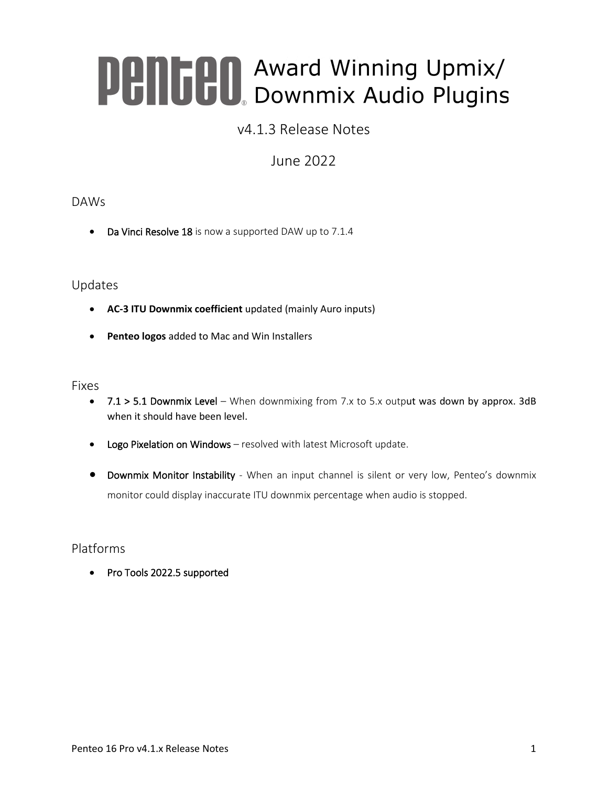# **Pentil Award Winning Upmix/**<br>**Pentil Downmix Audio Plugins**

# v4.1.3 Release Notes

# June 2022

## DAWs

• Da Vinci Resolve 18 is now a supported DAW up to 7.1.4

## Updates

- **AC-3 ITU Downmix coefficient** updated (mainly Auro inputs)
- **Penteo logos** added to Mac and Win Installers

## Fixes

- 7.1 > 5.1 Downmix Level When downmixing from 7.x to 5.x output was down by approx. 3dB when it should have been level.
- Logo Pixelation on Windows resolved with latest Microsoft update.
- Downmix Monitor Instability When an input channel is silent or very low, Penteo's downmix monitor could display inaccurate ITU downmix percentage when audio is stopped.

## Platforms

• Pro Tools 2022.5 supported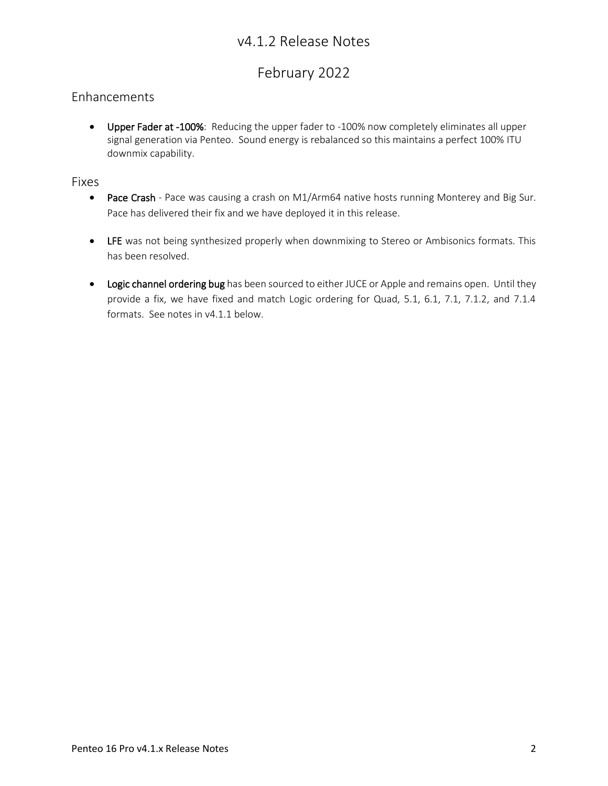# v4.1.2 Release Notes

# February 2022

## Enhancements

• Upper Fader at -100%: Reducing the upper fader to -100% now completely eliminates all upper signal generation via Penteo. Sound energy is rebalanced so this maintains a perfect 100% ITU downmix capability.

## Fixes

- Pace Crash Pace was causing a crash on M1/Arm64 native hosts running Monterey and Big Sur. Pace has delivered their fix and we have deployed it in this release.
- LFE was not being synthesized properly when downmixing to Stereo or Ambisonics formats. This has been resolved.
- Logic channel ordering bug has been sourced to either JUCE or Apple and remains open. Until they provide a fix, we have fixed and match Logic ordering for Quad, 5.1, 6.1, 7.1, 7.1.2, and 7.1.4 formats. See notes in v4.1.1 below.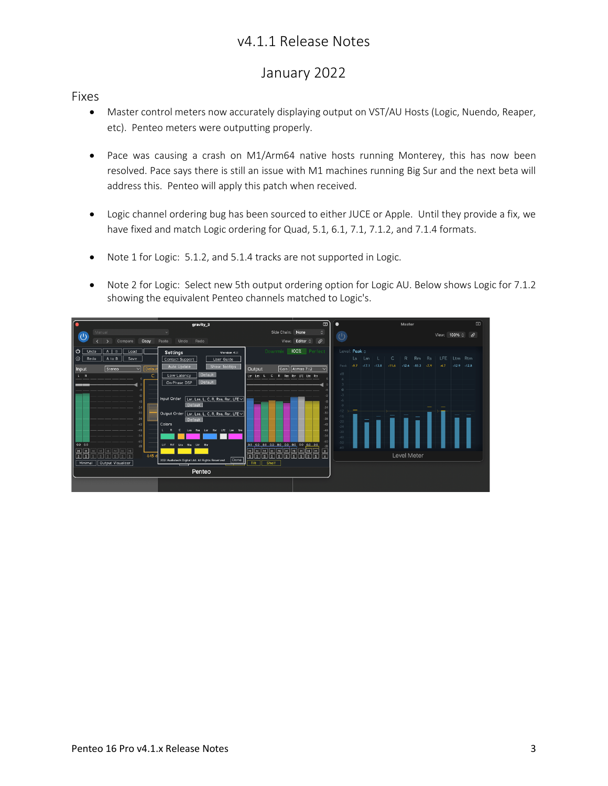## v4.1.1 Release Notes

## January 2022

## Fixes

- Master control meters now accurately displaying output on VST/AU Hosts (Logic, Nuendo, Reaper, etc). Penteo meters were outputting properly.
- Pace was causing a crash on M1/Arm64 native hosts running Monterey, this has now been resolved. Pace says there is still an issue with M1 machines running Big Sur and the next beta will address this. Penteo will apply this patch when received.
- Logic channel ordering bug has been sourced to either JUCE or Apple. Until they provide a fix, we have fixed and match Logic ordering for Quad, 5.1, 6.1, 7.1, 7.1.2, and 7.1.4 formats.
- Note 1 for Logic: 5.1.2, and 5.1.4 tracks are not supported in Logic.
- Note 2 for Logic: Select new 5th output ordering option for Logic AU. Below shows Logic for 7.1.2 showing the equivalent Penteo channels matched to Logic's.